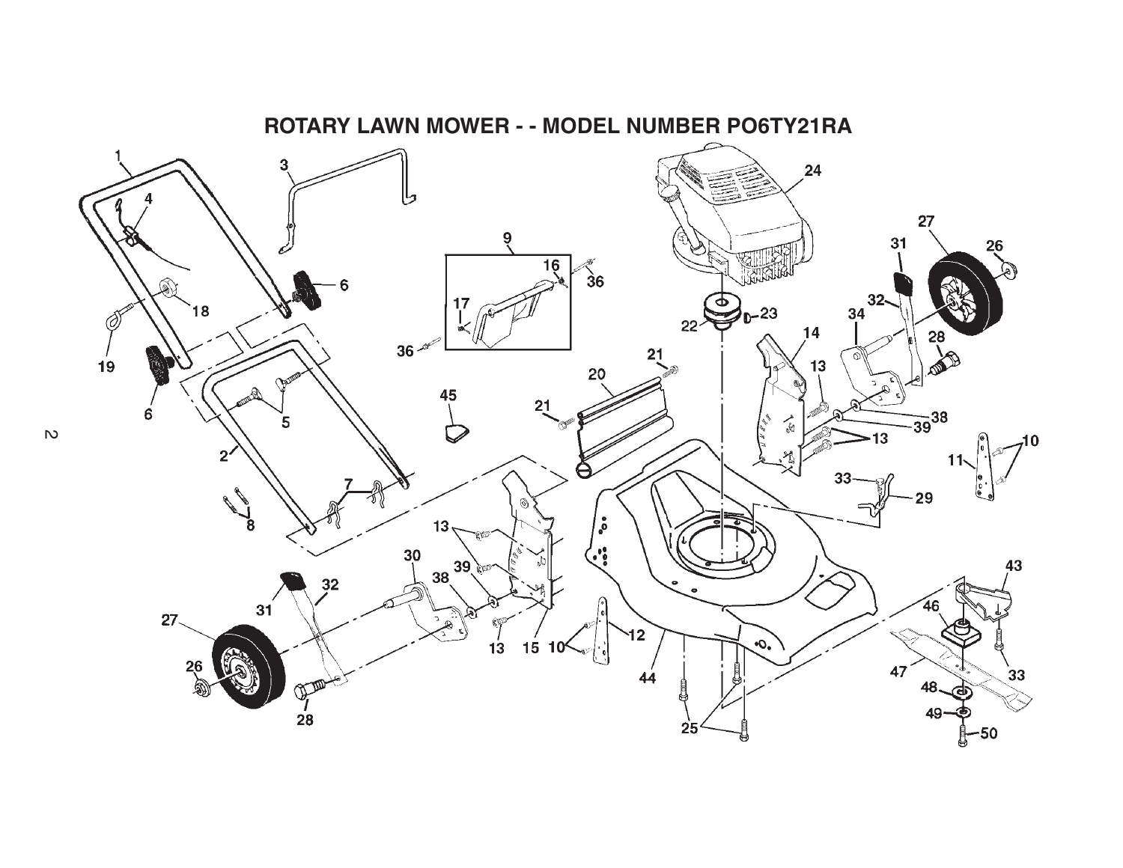

 $\overline{c}$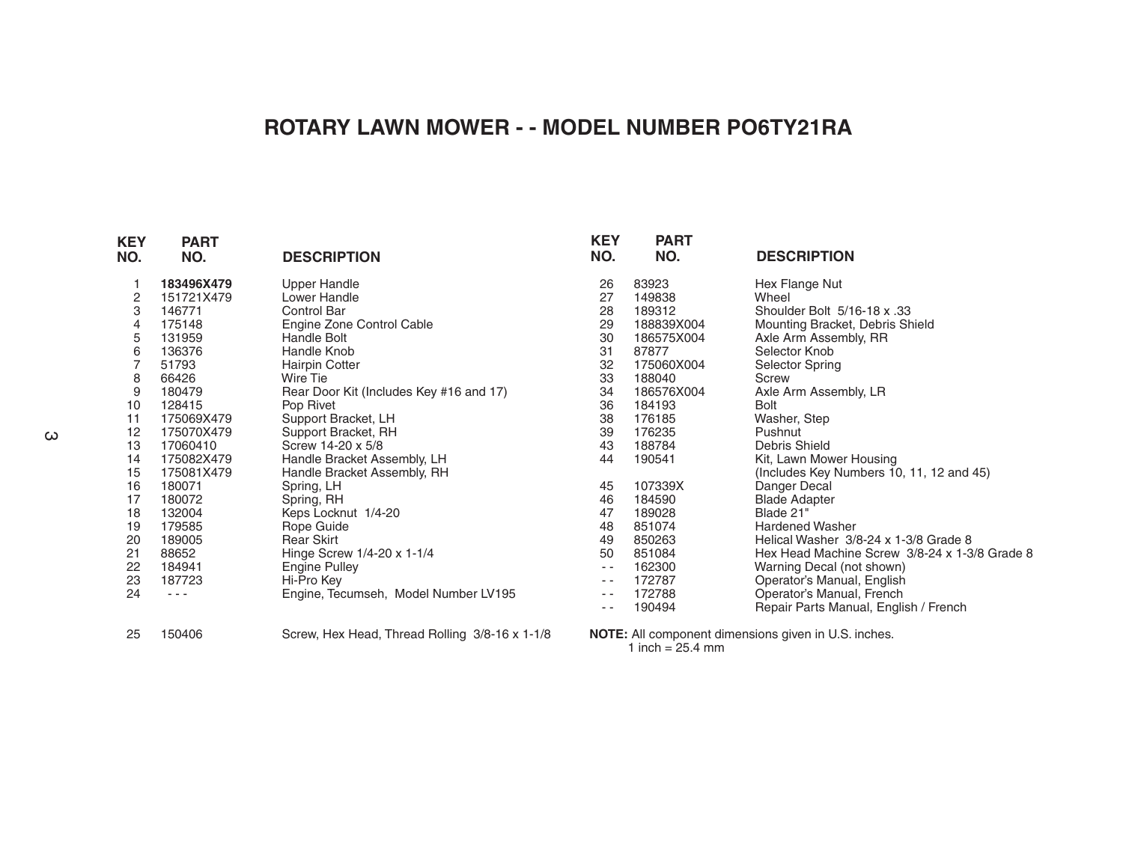## **ROTARY LAWN MOWER - - MODEL NUMBER PO6TY21RA**

| <b>KEY</b><br>NO. | <b>PART</b><br>NO. | <b>DESCRIPTION</b>                             | <b>KEY</b><br>NO. | <b>PART</b><br>NO.                                          | <b>DESCRIPTION</b>                            |  |  |  |
|-------------------|--------------------|------------------------------------------------|-------------------|-------------------------------------------------------------|-----------------------------------------------|--|--|--|
|                   | 183496X479         | <b>Upper Handle</b>                            | 26                | 83923                                                       | Hex Flange Nut                                |  |  |  |
| 2                 | 151721X479         | Lower Handle                                   | 27                | 149838                                                      | Wheel                                         |  |  |  |
| 3                 | 146771             | <b>Control Bar</b>                             | 28                | 189312                                                      | Shoulder Bolt 5/16-18 x .33                   |  |  |  |
| 4                 | 175148             | Engine Zone Control Cable                      | 29                | 188839X004                                                  | Mounting Bracket, Debris Shield               |  |  |  |
| 5                 | 131959             | <b>Handle Bolt</b>                             | 30                | 186575X004                                                  | Axle Arm Assembly, RR                         |  |  |  |
| 6                 | 136376             | Handle Knob                                    | 31                | 87877                                                       | Selector Knob                                 |  |  |  |
|                   | 51793              | <b>Hairpin Cotter</b>                          | 32                | 175060X004                                                  | Selector Spring                               |  |  |  |
| 8                 | 66426              | Wire Tie                                       | 33                | 188040                                                      | <b>Screw</b>                                  |  |  |  |
| 9                 | 180479             | Rear Door Kit (Includes Key #16 and 17)        | 34                | 186576X004                                                  | Axle Arm Assembly, LR                         |  |  |  |
| 10                | 128415             | Pop Rivet                                      | 36                | 184193                                                      | Bolt                                          |  |  |  |
| 11                | 175069X479         | Support Bracket, LH                            | 38                | 176185                                                      | Washer, Step                                  |  |  |  |
| 12                | 175070X479         | Support Bracket, RH                            | 39                | 176235                                                      | Pushnut                                       |  |  |  |
| 13                | 17060410           | Screw 14-20 x 5/8                              | 43                | 188784                                                      | Debris Shield                                 |  |  |  |
| 14                | 175082X479         | Handle Bracket Assembly, LH                    | 44                | 190541                                                      | Kit, Lawn Mower Housing                       |  |  |  |
| 15                | 175081X479         | Handle Bracket Assembly, RH                    |                   |                                                             | (Includes Key Numbers 10, 11, 12 and 45)      |  |  |  |
| 16                | 180071             | Spring, LH                                     | 45                | 107339X                                                     | Danger Decal                                  |  |  |  |
| 17                | 180072             | Spring, RH                                     | 46                | 184590                                                      | <b>Blade Adapter</b>                          |  |  |  |
| 18                | 132004             | Keps Locknut 1/4-20                            | 47                | 189028                                                      | Blade 21"                                     |  |  |  |
| 19                | 179585             | Rope Guide                                     | 48                | 851074                                                      | <b>Hardened Washer</b>                        |  |  |  |
| 20                | 189005             | <b>Rear Skirt</b>                              | 49                | 850263                                                      | Helical Washer 3/8-24 x 1-3/8 Grade 8         |  |  |  |
| 21                | 88652              | Hinge Screw 1/4-20 x 1-1/4                     | 50                | 851084                                                      | Hex Head Machine Screw 3/8-24 x 1-3/8 Grade 8 |  |  |  |
| 22                | 184941             | Engine Pulley                                  | $ -$              | 162300                                                      | Warning Decal (not shown)                     |  |  |  |
| 23                | 187723             | Hi-Pro Kev                                     | $ -$              | 172787                                                      | Operator's Manual, English                    |  |  |  |
| 24                |                    | Engine, Tecumseh, Model Number LV195           | - -               | 172788                                                      | Operator's Manual, French                     |  |  |  |
|                   |                    |                                                | $ -$              | 190494                                                      | Repair Parts Manual, English / French         |  |  |  |
| 25                | 150406             | Screw, Hex Head, Thread Rolling 3/8-16 x 1-1/8 |                   | <b>NOTE:</b> All component dimensions given in U.S. inches. |                                               |  |  |  |

 $\omega$ 

**NOTE:** All component dimensions given in U.S. inches. 1 inch = 25.4 mm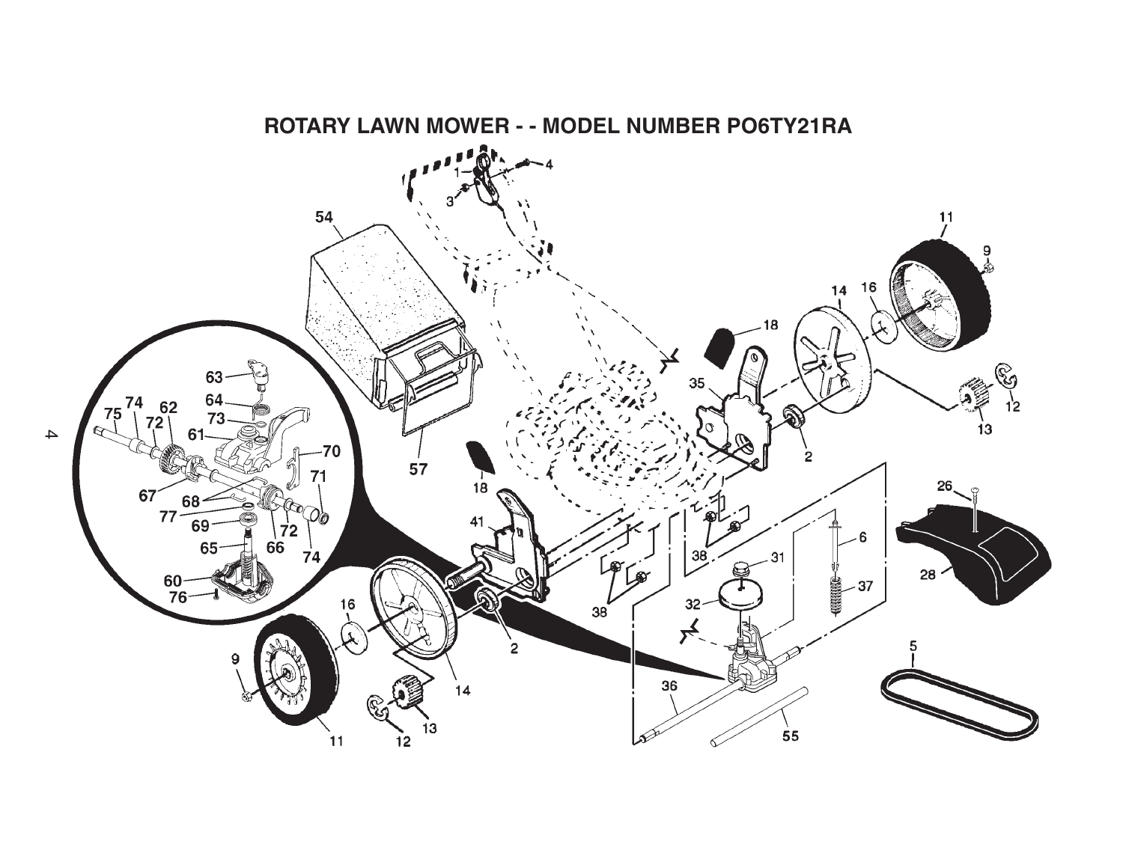